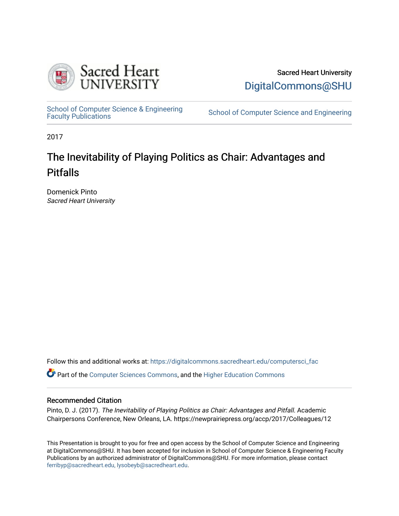

Sacred Heart University [DigitalCommons@SHU](https://digitalcommons.sacredheart.edu/) 

School of Computer Science & Engineering<br>Faculty Publications

School of Computer Science and Engineering

2017

## The Inevitability of Playing Politics as Chair: Advantages and Pitfalls

Domenick Pinto Sacred Heart University

Follow this and additional works at: [https://digitalcommons.sacredheart.edu/computersci\\_fac](https://digitalcommons.sacredheart.edu/computersci_fac?utm_source=digitalcommons.sacredheart.edu%2Fcomputersci_fac%2F147&utm_medium=PDF&utm_campaign=PDFCoverPages) 

Part of the [Computer Sciences Commons](http://network.bepress.com/hgg/discipline/142?utm_source=digitalcommons.sacredheart.edu%2Fcomputersci_fac%2F147&utm_medium=PDF&utm_campaign=PDFCoverPages), and the [Higher Education Commons](http://network.bepress.com/hgg/discipline/1245?utm_source=digitalcommons.sacredheart.edu%2Fcomputersci_fac%2F147&utm_medium=PDF&utm_campaign=PDFCoverPages)

## Recommended Citation

Pinto, D. J. (2017). The Inevitability of Playing Politics as Chair: Advantages and Pitfall. Academic Chairpersons Conference, New Orleans, LA. https://newprairiepress.org/accp/2017/Colleagues/12

This Presentation is brought to you for free and open access by the School of Computer Science and Engineering at DigitalCommons@SHU. It has been accepted for inclusion in School of Computer Science & Engineering Faculty Publications by an authorized administrator of DigitalCommons@SHU. For more information, please contact [ferribyp@sacredheart.edu, lysobeyb@sacredheart.edu.](mailto:ferribyp@sacredheart.edu,%20lysobeyb@sacredheart.edu)